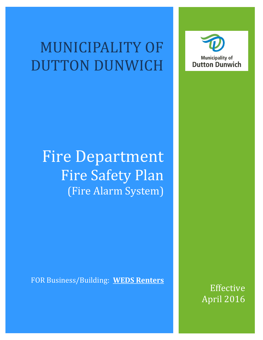# MUNICIPALITY OF DUTTON DUNWICH



# Fire Department Fire Safety Plan (Fire Alarm System)

FOR Business/Building: **WEDS Renters**

Effective April 2016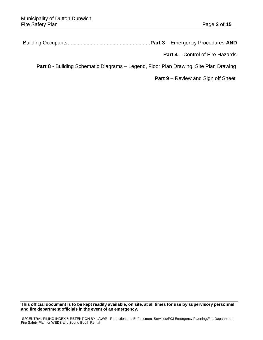Building Occupants.........................................................**Part 3** – Emergency Procedures **AND**

 **Part 4** – Control of Fire Hazards

**Part 8** - Building Schematic Diagrams – Legend, Floor Plan Drawing, Site Plan Drawing

**Part 9** – Review and Sign off Sheet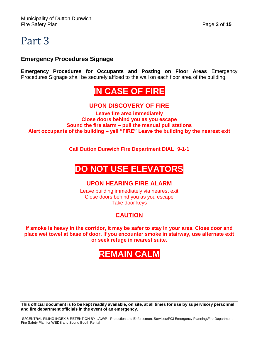#### **Emergency Procedures Signage**

**Emergency Procedures for Occupants and Posting on Floor Areas** Emergency Procedures Signage shall be securely affixed to the wall on each floor area of the building.

## **IN CASE OF FIRE**

#### **UPON DISCOVERY OF FIRE**

**Leave fire area immediately Close doors behind you as you escape Sound the fire alarm – pull the manual pull stations Alert occupants of the building – yell "FIRE" Leave the building by the nearest exit**

**Call Dutton Dunwich Fire Department DIAL 9-1-1**

# **DO NOT USE ELEVATORS**

#### **UPON HEARING FIRE ALARM**

Leave building immediately via nearest exit Close doors behind you as you escape Take door keys

### **CAUTION**

**If smoke is heavy in the corridor, it may be safer to stay in your area. Close door and place wet towel at base of door. If you encounter smoke in stairway, use alternate exit or seek refuge in nearest suite.**

## **REMAIN CALM**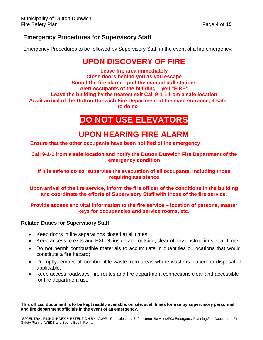### **Emergency Procedures for Supervisory Staff**

Emergency Procedures to be followed by Supervisory Staff in the event of a fire emergency:

### **UPON DISCOVERY OF FIRE**

**Leave fire area immediately Close doors behind you as you escape Sound the fire alarm – pull the manual pull stations Alert occupants of the building – yell "FIRE" Leave the building by the nearest exit Call 9-1-1 from a safe location Await arrival of the Dutton Dunwich Fire Department at the main entrance, if safe to do so**

### **DO NOT USE ELEVATORS**

### **UPON HEARING FIRE ALARM**

**Ensure that the other occupants have been notified of the emergency**

**Call 9-1-1 from a safe location and notify the Dutton Dunwich Fire Department of the emergency condition**

**If it is safe to do so, supervise the evacuation of all occupants, including those requiring assistance**

**Upon arrival of the fire service, inform the fire officer of the conditions in the building and coordinate the efforts of Supervisory Staff with those of the fire service.**

#### **Provide access and vital information to the fire service – location of persons, master keys for occupancies and service rooms, etc.**

#### **Related Duties for Supervisory Staff:**

- Keep doors in fire separations closed at all times;
- Keep access to exits and EXITS, inside and outside, clear of any obstructions at all times;
- Do not permit combustible materials to accumulate in quantities or locations that would constitute a fire hazard;
- Promptly remove all combustible waste from areas where waste is placed for disposal, if applicable;
- Keep access roadways, fire routes and fire department connections clear and accessible for fire department use;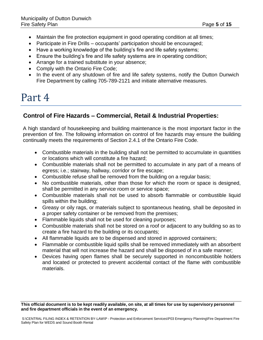- Maintain the fire protection equipment in good operating condition at all times;
- Participate in Fire Drills occupants' participation should be encouraged;
- Have a working knowledge of the building's fire and life safety systems;
- Ensure the building's fire and life safety systems are in operating condition;
- Arrange for a trained substitute in your absence;
- Comply with the Ontario Fire Code;
- In the event of any shutdown of fire and life safety systems, notify the Dutton Dunwich Fire Department by calling 705-789-2121 and initiate alternative measures.

### **Control of Fire Hazards – Commercial, Retail & Industrial Properties:**

A high standard of housekeeping and building maintenance is the most important factor in the prevention of fire. The following information on control of fire hazards may ensure the building continually meets the requirements of Section 2.4.1 of the Ontario Fire Code.

- Combustible materials in the building shall not be permitted to accumulate in quantities or locations which will constitute a fire hazard;
- Combustible materials shall not be permitted to accumulate in any part of a means of egress; i.e.; stairway, hallway, corridor or fire escape;
- Combustible refuse shall be removed from the building on a regular basis;
- No combustible materials, other than those for which the room or space is designed, shall be permitted in any service room or service space;
- Combustible materials shall not be used to absorb flammable or combustible liquid spills within the building;
- Greasy or oily rags, or materials subject to spontaneous heating, shall be deposited in a proper safety container or be removed from the premises;
- Flammable liquids shall not be used for cleaning purposes;
- Combustible materials shall not be stored on a roof or adjacent to any building so as to create a fire hazard to the building or its occupants;
- All flammable liquids are to be dispensed and stored in approved containers;
- Flammable or combustible liquid spills shall be removed immediately with an absorbent material that will not increase the hazard and shall be disposed of in a safe manner;
- Devices having open flames shall be securely supported in noncombustible holders and located or protected to prevent accidental contact of the flame with combustible materials.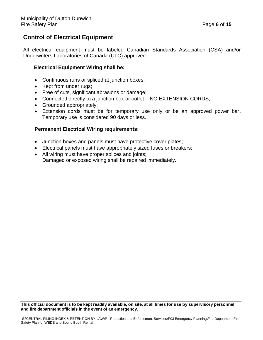#### **Control of Electrical Equipment**

All electrical equipment must be labeled Canadian Standards Association (CSA) and/or Underwriters Laboratories of Canada (ULC) approved.

#### **Electrical Equipment Wiring shall be:**

- Continuous runs or spliced at junction boxes;
- Kept from under rugs:
- Free of cuts, significant abrasions or damage;
- Connected directly to a junction box or outlet NO EXTENSION CORDS;
- Grounded appropriately;
- Extension cords must be for temporary use only or be an approved power bar. Temporary use is considered 90 days or less.

#### **Permanent Electrical Wiring requirements:**

- Junction boxes and panels must have protective cover plates;
- Electrical panels must have appropriately sized fuses or breakers;
- All wiring must have proper splices and joints; Damaged or exposed wiring shall be repaired immediately.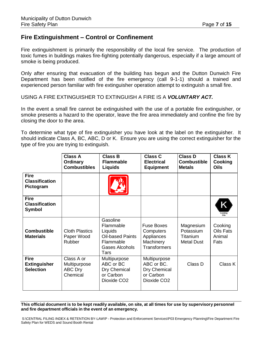#### **Fire Extinguishment – Control or Confinement**

Fire extinguishment is primarily the responsibility of the local fire service. The production of toxic fumes in buildings makes fire-fighting potentially dangerous, especially if a large amount of smoke is being produced.

Only after ensuring that evacuation of the building has begun and the Dutton Dunwich Fire Department has been notified of the fire emergency (call 9-1-1) should a trained and experienced person familiar with fire extinguisher operation attempt to extinguish a small fire.

USING A FIRE EXTINGUISHER TO EXTINGUISH A FIRE IS A *VOLUNTARY ACT.*

In the event a small fire cannot be extinguished with the use of a portable fire extinguisher, or smoke presents a hazard to the operator, leave the fire area immediately and confine the fire by closing the door to the area.

To determine what type of fire extinguisher you have look at the label on the extinguisher. It should indicate Class A, BC, ABC, D or K. Ensure you are using the correct extinguisher for the type of fire you are trying to extinguish.

|                                                        | <b>Class A</b><br>Ordinary<br><b>Combustibles</b>        | <b>Class B</b><br><b>Flammable</b><br><b>Liquids</b>                                               | <b>Class C</b><br><b>Electrical</b><br><b>Equipment</b>                            | <b>Class D</b><br><b>Combustible</b><br><b>Metals</b>   | <b>Class K</b><br>Cooking<br><b>Oils</b>      |
|--------------------------------------------------------|----------------------------------------------------------|----------------------------------------------------------------------------------------------------|------------------------------------------------------------------------------------|---------------------------------------------------------|-----------------------------------------------|
| <b>Fire</b><br><b>Classification</b><br>Pictogram      |                                                          |                                                                                                    |                                                                                    |                                                         |                                               |
| <b>Fire</b><br><b>Classification</b><br><b>Symbol</b>  |                                                          |                                                                                                    |                                                                                    |                                                         | Κ<br>Cooking<br>Oils                          |
| <b>Combustible</b><br><b>Materials</b>                 | <b>Cloth Plastics</b><br>Paper Wood<br>Rubber            | Gasoline<br>Flammable<br>Liquids<br><b>Oil-based Paints</b><br>Flammable<br>Gases Alcohols<br>Tars | <b>Fuse Boxes</b><br>Computers<br>Appliances<br>Machinery<br><b>Transformers</b>   | Magnesium<br>Potassium<br>Titanium<br><b>Metal Dust</b> | Cooking<br><b>Oils Fats</b><br>Animal<br>Fats |
| <b>Fire</b><br><b>Extinguisher</b><br><b>Selection</b> | Class A or<br>Multipurpose<br><b>ABC Dry</b><br>Chemical | Multipurpose<br>ABC or BC<br>Dry Chemical<br>or Carbon<br>Dioxide CO <sub>2</sub>                  | Multipurpose<br>ABC or BC.<br>Dry Chemical<br>or Carbon<br>Dioxide CO <sub>2</sub> | Class D                                                 | Class K                                       |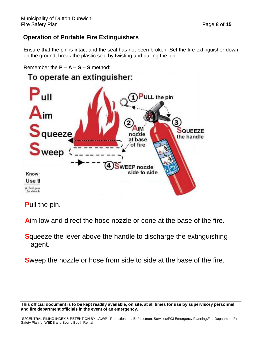### **Operation of Portable Fire Extinguishers**

Ensure that the pin is intact and the seal has not been broken. Set the fire extinguisher down on the ground; break the plastic seal by twisting and pulling the pin.

```
Remember the P – A – S – S method:
```


**P**ull the pin.

**A**im low and direct the hose nozzle or cone at the base of the fire.

**S**queeze the lever above the handle to discharge the extinguishing agent.

**S**weep the nozzle or hose from side to side at the base of the fire.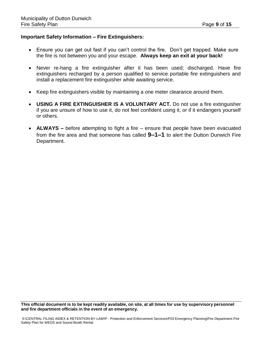#### **Important Safety Information – Fire Extinguishers:**

- Ensure you can get out fast if you can't control the fire. Don't get trapped. Make sure the fire is not between you and your escape. **Always keep an exit at your back!**
- Never re-hang a fire extinguisher after it has been used; discharged. Have fire extinguishers recharged by a person qualified to service portable fire extinguishers and install a replacement fire extinguisher while awaiting service.
- Keep fire extinguishers visible by maintaining a one meter clearance around them.
- **USING A FIRE EXTINGUISHER IS A VOLUNTARY ACT.** Do not use a fire extinguisher if you are unsure of how to use it, do not feel confident using it, or if it endangers yourself or others.
- **ALWAYS –** before attempting to fight a fire ensure that people have been evacuated from the fire area and that someone has called **9–1–1** to alert the Dutton Dunwich Fire Department.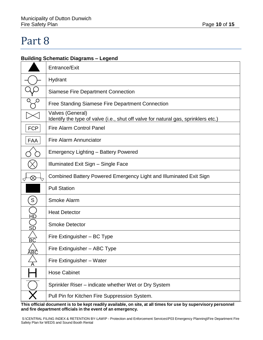#### **Building Schematic Diagrams – Legend**

|                 | Entrance/Exit                                                                                          |
|-----------------|--------------------------------------------------------------------------------------------------------|
|                 | Hydrant                                                                                                |
|                 | <b>Siamese Fire Department Connection</b>                                                              |
|                 | Free Standing Siamese Fire Department Connection                                                       |
|                 | Valves (General)<br>Identify the type of valve (i.e., shut off valve for natural gas, sprinklers etc.) |
| <b>FCP</b>      | <b>Fire Alarm Control Panel</b>                                                                        |
| <b>FAA</b>      | <b>Fire Alarm Annunciator</b>                                                                          |
|                 | <b>Emergency Lighting - Battery Powered</b>                                                            |
|                 | Illuminated Exit Sign - Single Face                                                                    |
| $\otimes$       | Combined Battery Powered Emergency Light and Illuminated Exit Sign                                     |
|                 | <b>Pull Station</b>                                                                                    |
| S               | Smoke Alarm                                                                                            |
| <u>HĎ</u>       | <b>Heat Detector</b>                                                                                   |
| SĎ              | <b>Smoke Detector</b>                                                                                  |
| $\overline{BC}$ | Fire Extinguisher - BC Type                                                                            |
| B(              | Fire Extinguisher - ABC Type                                                                           |
|                 | Fire Extinguisher - Water                                                                              |
|                 | <b>Hose Cabinet</b>                                                                                    |
|                 | Sprinkler Riser – indicate whether Wet or Dry System                                                   |
|                 | Pull Pin for Kitchen Fire Suppression System.                                                          |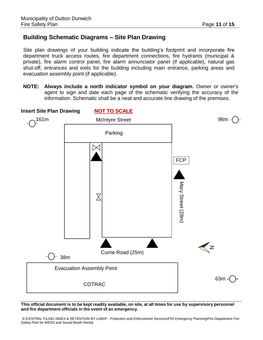### **Building Schematic Diagrams – Site Plan Drawing**

Site plan drawings of your building indicate the building's footprint and incorporate fire department truck access routes, fire department connections, fire hydrants (municipal & private), fire alarm control panel, fire alarm annunciator panel (if applicable), natural gas shut-off, entrances and exits for the building including main entrance, parking areas and evacuation assembly point (if applicable).

**NOTE: Always include a north indicator symbol on your diagram.** Owner or owner's agent to sign and date each page of the schematic verifying the accuracy of the information. Schematic shall be a neat and accurate line drawing of the premises.

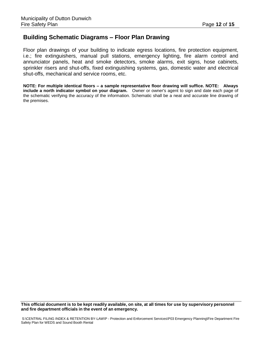#### **Building Schematic Diagrams – Floor Plan Drawing**

Floor plan drawings of your building to indicate egress locations, fire protection equipment, i.e.; fire extinguishers, manual pull stations, emergency lighting, fire alarm control and annunciator panels, heat and smoke detectors, smoke alarms, exit signs, hose cabinets, sprinkler risers and shut-offs, fixed extinguishing systems, gas, domestic water and electrical shut-offs, mechanical and service rooms, etc.

**NOTE: For multiple identical floors – a sample representative floor drawing will suffice. NOTE: Always include a north indicator symbol on your diagram.** Owner or owner's agent to sign and date each page of the schematic verifying the accuracy of the information. Schematic shall be a neat and accurate line drawing of the premises.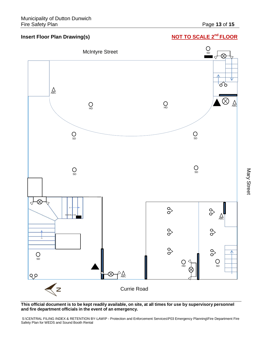#### **Insert Floor Plan Drawing(s)**

### **NOT TO SCALE 2<sup>nd</sup> FLOOR**



This official document is to be kept readily available, on site, at all times for use by supervisory personnel **and fire department officials in the event of an emergency.**

S:\CENTRAL FILING INDEX & RETENTION BY-LAW\P - Protection and Enforcement Services\P03 Emergency Planning\Fire Department Fire Safety Plan for WEDS and Sound Booth Rental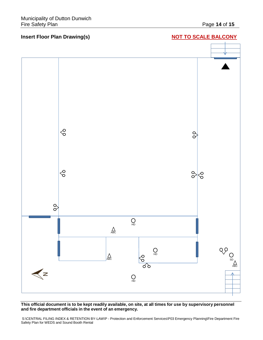

This official document is to be kept readily available, on site, at all times for use by supervisory personnel **and fire department officials in the event of an emergency.**

S:\CENTRAL FILING INDEX & RETENTION BY-LAW\P - Protection and Enforcement Services\P03 Emergency Planning\Fire Department Fire Safety Plan for WEDS and Sound Booth Rental